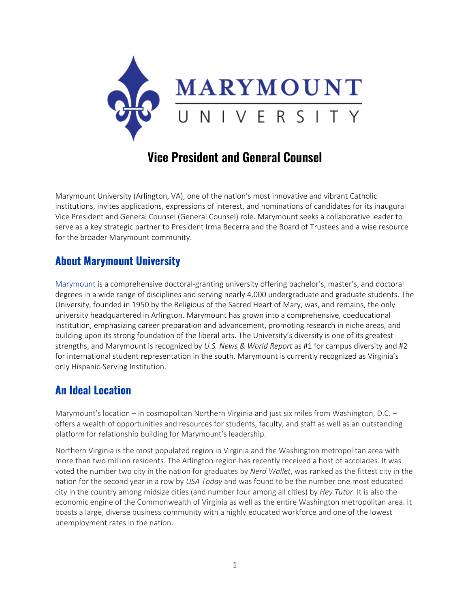

## **Vice President and General Counsel**

Marymount University (Arlington, VA), one of the nation's most innovative and vibrant Catholic institutions, invites applications, expressions of interest, and nominations of candidates for its inaugural Vice President and General Counsel (General Counsel) role. Marymount seeks a collaborative leader to serve as a key strategic partner to President Irma Becerra and the Board of Trustees and a wise resource for the broader Marymount community.

### **About Marymount University**

[Marymount](https://marymount.edu/) is a comprehensive doctoral-granting university offering bachelor's, master's, and doctoral degrees in a wide range of disciplines and serving nearly 4,000 undergraduate and graduate students. The University, founded in 1950 by the Religious of the Sacred Heart of Mary, was, and remains, the only university headquartered in Arlington. Marymount has grown into a comprehensive, coeducational institution, emphasizing career preparation and advancement, promoting research in niche areas, and building upon its strong foundation of the liberal arts. The University's diversity is one of its greatest strengths, and Marymount is recognized by *U.S. News & World Report* as #1 for campus diversity and #2 for international student representation in the south. Marymount is currently recognized as Virginia's only Hispanic-Serving Institution.

### **An Ideal Location**

Marymount's location – in cosmopolitan Northern Virginia and just six miles from Washington, D.C. – offers a wealth of opportunities and resources for students, faculty, and staff as well as an outstanding platform for relationship building for Marymount's leadership.

Northern Virginia is the most populated region in Virginia and the Washington metropolitan area with more than two million residents. The Arlington region has recently received a host of accolades. It was voted the number two city in the nation for graduates by *Nerd Wallet*, was ranked as the fittest city in the nation for the second year in a row by *USA Today* and was found to be the number one most educated city in the country among midsize cities (and number four among all cities) by *Hey Tutor*. It is also the economic engine of the Commonwealth of Virginia as well as the entire Washington metropolitan area. It boasts a large, diverse business community with a highly educated workforce and one of the lowest unemployment rates in the nation.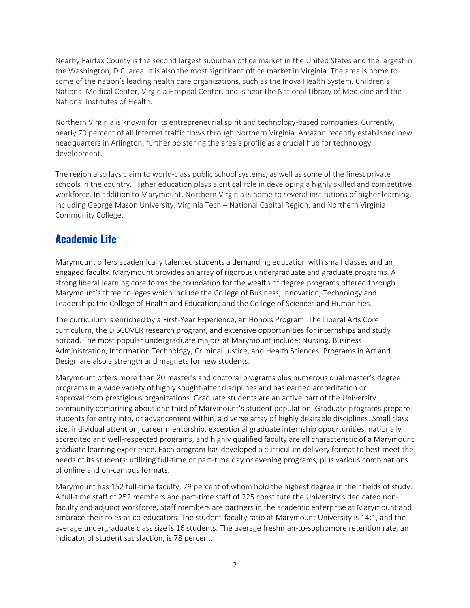Nearby Fairfax County is the second largest suburban office market in the United States and the largest in the Washington, D.C. area. It is also the most significant office market in Virginia. The area is home to some of the nation's leading health care organizations, such as the Inova Health System, Children's National Medical Center, Virginia Hospital Center, and is near the National Library of Medicine and the National Institutes of Health.

Northern Virginia is known for its entrepreneurial spirit and technology-based companies. Currently, nearly 70 percent of all Internet traffic flows through Northern Virginia. Amazon recently established new headquarters in Arlington, further bolstering the area's profile as a crucial hub for technology development.

The region also lays claim to world-class public school systems, as well as some of the finest private schools in the country. Higher education plays a critical role in developing a highly skilled and competitive workforce. In addition to Marymount, Northern Virginia is home to several institutions of higher learning, including George Mason University, Virginia Tech – National Capital Region, and Northern Virginia Community College.

### **Academic Life**

Marymount offers academically talented students a demanding education with small classes and an engaged faculty. Marymount provides an array of rigorous undergraduate and graduate programs. A strong liberal learning core forms the foundation for the wealth of degree programs offered through Marymount's three colleges which include the College of Business, Innovation, Technology and Leadership; the College of Health and Education; and the College of Sciences and Humanities.

The curriculum is enriched by a First-Year Experience, an Honors Program, The Liberal Arts Core curriculum, the DISCOVER research program, and extensive opportunities for internships and study abroad. The most popular undergraduate majors at Marymount include: Nursing, Business Administration, Information Technology, Criminal Justice, and Health Sciences. Programs in Art and Design are also a strength and magnets for new students.

Marymount offers more than 20 master's and doctoral programs plus numerous dual master's degree programs in a wide variety of highly sought-after disciplines and has earned accreditation or approval from prestigious organizations. Graduate students are an active part of the University community comprising about one third of Marymount's student population. Graduate programs prepare students for entry into, or advancement within, a diverse array of highly desirable disciplines. Small class size, individual attention, career mentorship, exceptional graduate internship opportunities, nationally accredited and well-respected programs, and highly qualified faculty are all characteristic of a Marymount graduate learning experience. Each program has developed a curriculum delivery format to best meet the needs of its students: utilizing full-time or part-time day or evening programs, plus various combinations of online and on-campus formats.

Marymount has 152 full-time faculty, 79 percent of whom hold the highest degree in their fields of study. A full-time staff of 252 members and part-time staff of 225 constitute the University's dedicated nonfaculty and adjunct workforce. Staff members are partners in the academic enterprise at Marymount and embrace their roles as co-educators. The student-faculty ratio at Marymount University is 14:1, and the average undergraduate class size is 16 students. The average freshman-to-sophomore retention rate, an indicator of student satisfaction, is 78 percent.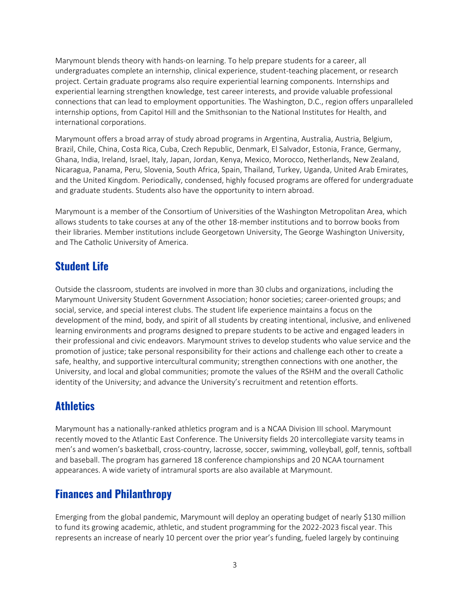Marymount blends theory with hands-on learning. To help prepare students for a career, all undergraduates complete an internship, clinical experience, student-teaching placement, or research project. Certain graduate programs also require experiential learning components. Internships and experiential learning strengthen knowledge, test career interests, and provide valuable professional connections that can lead to employment opportunities. The Washington, D.C., region offers unparalleled internship options, from Capitol Hill and the Smithsonian to the National Institutes for Health, and international corporations.

Marymount offers a broad array of study abroad programs in Argentina, Australia, Austria, Belgium, Brazil, Chile, China, Costa Rica, Cuba, Czech Republic, Denmark, El Salvador, Estonia, France, Germany, Ghana, India, Ireland, Israel, Italy, Japan, Jordan, Kenya, Mexico, Morocco, Netherlands, New Zealand, Nicaragua, Panama, Peru, Slovenia, South Africa, Spain, Thailand, Turkey, Uganda, United Arab Emirates, and the United Kingdom. Periodically, condensed, highly focused programs are offered for undergraduate and graduate students. Students also have the opportunity to intern abroad.

Marymount is a member of the Consortium of Universities of the Washington Metropolitan Area, which allows students to take courses at any of the other 18-member institutions and to borrow books from their libraries. Member institutions include Georgetown University, The George Washington University, and The Catholic University of America.

### **Student Life**

Outside the classroom, students are involved in more than 30 clubs and organizations, including the Marymount University Student Government Association; honor societies; career-oriented groups; and social, service, and special interest clubs. The student life experience maintains a focus on the development of the mind, body, and spirit of all students by creating intentional, inclusive, and enlivened learning environments and programs designed to prepare students to be active and engaged leaders in their professional and civic endeavors. Marymount strives to develop students who value service and the promotion of justice; take personal responsibility for their actions and challenge each other to create a safe, healthy, and supportive intercultural community; strengthen connections with one another, the University, and local and global communities; promote the values of the RSHM and the overall Catholic identity of the University; and advance the University's recruitment and retention efforts.

### **Athletics**

Marymount has a nationally-ranked athletics program and is a NCAA Division III school. Marymount recently moved to the Atlantic East Conference. The University fields 20 intercollegiate varsity teams in men's and women's basketball, cross-country, lacrosse, soccer, swimming, volleyball, golf, tennis, softball and baseball. The program has garnered 18 conference championships and 20 NCAA tournament appearances. A wide variety of intramural sports are also available at Marymount.

### **Finances and Philanthropy**

Emerging from the global pandemic, Marymount will deploy an operating budget of nearly \$130 million to fund its growing academic, athletic, and student programming for the 2022-2023 fiscal year. This represents an increase of nearly 10 percent over the prior year's funding, fueled largely by continuing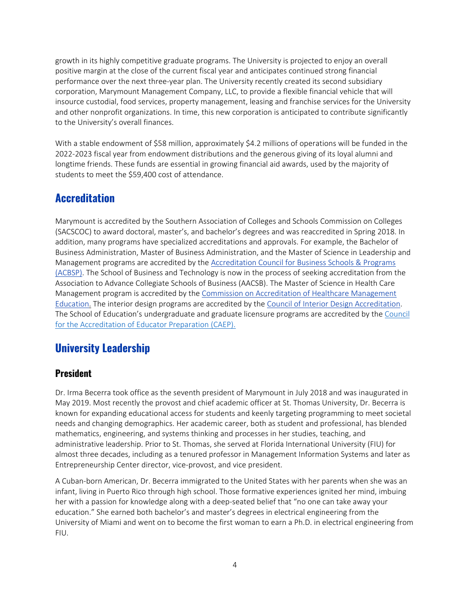growth in its highly competitive graduate programs. The University is projected to enjoy an overall positive margin at the close of the current fiscal year and anticipates continued strong financial performance over the next three-year plan. The University recently created its second subsidiary corporation, Marymount Management Company, LLC, to provide a flexible financial vehicle that will insource custodial, food services, property management, leasing and franchise services for the University and other nonprofit organizations. In time, this new corporation is anticipated to contribute significantly to the University's overall finances.

With a stable endowment of \$58 million, approximately \$4.2 millions of operations will be funded in the 2022-2023 fiscal year from endowment distributions and the generous giving of its loyal alumni and longtime friends. These funds are essential in growing financial aid awards, used by the majority of students to meet the \$59,400 cost of attendance.

### **Accreditation**

Marymount is accredited by the Southern Association of Colleges and Schools Commission on Colleges (SACSCOC) to award doctoral, master's, and bachelor's degrees and was reaccredited in Spring 2018. In addition, many programs have specialized accreditations and approvals. For example, the Bachelor of Business Administration, Master of Business Administration, and the Master of Science in Leadership and Management programs are accredited by the [Accreditation Council for Business Schools & Programs](http://www.acbsp.org/) (ACBSP). The School of Business and Technology is now in the process of seeking accreditation from the Association to Advance Collegiate Schools of Business (AACSB). The Master of Science in Health Care Management program is accredited by the [Commission on Accreditation of Healthcare Management](https://www.cahme.org/)  [Education.](https://www.cahme.org/) The interior design programs are accredited by the [Council of Interior Design Accreditation.](https://accredit-id.org/) The School of Education's undergraduate and graduate licensure programs are accredited by the [Council](https://caepnet.org/)  [for the Accreditation of Educator Preparation](https://caepnet.org/) (CAEP).

### **University Leadership**

#### **President**

Dr. Irma Becerra took office as the seventh president of Marymount in July 2018 and was inaugurated in May 2019. Most recently the provost and chief academic officer at St. Thomas University, Dr. Becerra is known for expanding educational access for students and keenly targeting programming to meet societal needs and changing demographics. Her academic career, both as student and professional, has blended mathematics, engineering, and systems thinking and processes in her studies, teaching, and administrative leadership. Prior to St. Thomas, she served at Florida International University (FIU) for almost three decades, including as a tenured professor in Management Information Systems and later as Entrepreneurship Center director, vice-provost, and vice president.

A Cuban-born American, Dr. Becerra immigrated to the United States with her parents when she was an infant, living in Puerto Rico through high school. Those formative experiences ignited her mind, imbuing her with a passion for knowledge along with a deep-seated belief that "no one can take away your education." She earned both bachelor's and master's degrees in electrical engineering from the University of Miami and went on to become the first woman to earn a Ph.D. in electrical engineering from FIU.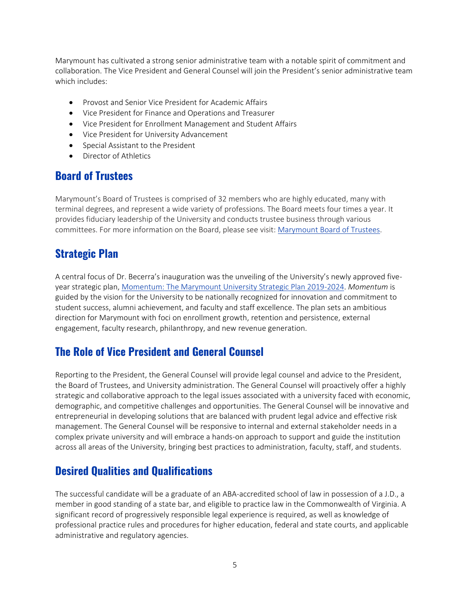Marymount has cultivated a strong senior administrative team with a notable spirit of commitment and collaboration. The Vice President and General Counsel will join the President's senior administrative team which includes:

- Provost and Senior Vice President for Academic Affairs
- Vice President for Finance and Operations and Treasurer
- Vice President for Enrollment Management and Student Affairs
- Vice President for University Advancement
- Special Assistant to the President
- Director of Athletics

#### **Board of Trustees**

Marymount's Board of Trustees is comprised of 32 members who are highly educated, many with terminal degrees, and represent a wide variety of professions. The Board meets four times a year. It provides fiduciary leadership of the University and conducts trustee business through various committees. For more information on the Board, please see visit: [Marymount Board of Trustees.](https://marymount.edu/about-mu/about-becerra/board-of-trustees/)

### **Strategic Plan**

A central focus of Dr. Becerra's inauguration was the unveiling of the University's newly approved fiveyear strategic plan[, Momentum: The Marymount University Strategic Plan 2019-2024.](https://marymount.edu/Faculty-and-Staff/Office-of-Planning-Institutional-Effectiveness/Strategic-Planning/) *Momentum* is guided by the vision for the University to be nationally recognized for innovation and commitment to student success, alumni achievement, and faculty and staff excellence. The plan sets an ambitious direction for Marymount with foci on enrollment growth, retention and persistence, external engagement, faculty research, philanthropy, and new revenue generation.

### **The Role of Vice President and General Counsel**

Reporting to the President, the General Counsel will provide legal counsel and advice to the President, the Board of Trustees, and University administration. The General Counsel will proactively offer a highly strategic and collaborative approach to the legal issues associated with a university faced with economic, demographic, and competitive challenges and opportunities. The General Counsel will be innovative and entrepreneurial in developing solutions that are balanced with prudent legal advice and effective risk management. The General Counsel will be responsive to internal and external stakeholder needs in a complex private university and will embrace a hands-on approach to support and guide the institution across all areas of the University, bringing best practices to administration, faculty, staff, and students.

### **Desired Qualities and Qualifications**

The successful candidate will be a graduate of an ABA-accredited school of law in possession of a J.D., a member in good standing of a state bar, and eligible to practice law in the Commonwealth of Virginia. A significant record of progressively responsible legal experience is required, as well as knowledge of professional practice rules and procedures for higher education, federal and state courts, and applicable administrative and regulatory agencies.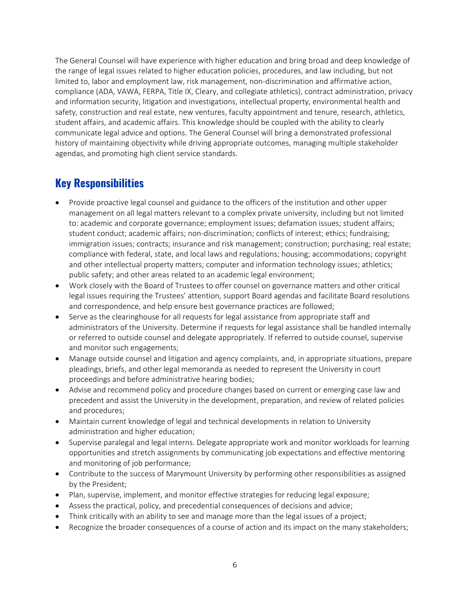The General Counsel will have experience with higher education and bring broad and deep knowledge of the range of legal issues related to higher education policies, procedures, and law including, but not limited to, labor and employment law, risk management, non-discrimination and affirmative action, compliance (ADA, VAWA, FERPA, Title IX, Cleary, and collegiate athletics), contract administration, privacy and information security, litigation and investigations, intellectual property, environmental health and safety, construction and real estate, new ventures, faculty appointment and tenure, research, athletics, student affairs, and academic affairs. This knowledge should be coupled with the ability to clearly communicate legal advice and options. The General Counsel will bring a demonstrated professional history of maintaining objectivity while driving appropriate outcomes, managing multiple stakeholder agendas, and promoting high client service standards.

### **Key Responsibilities**

- Provide proactive legal counsel and guidance to the officers of the institution and other upper management on all legal matters relevant to a complex private university, including but not limited to: academic and corporate governance; employment issues; defamation issues; student affairs; student conduct; academic affairs; non-discrimination; conflicts of interest; ethics; fundraising; immigration issues; contracts; insurance and risk management; construction; purchasing; real estate; compliance with federal, state, and local laws and regulations; housing; accommodations; copyright and other intellectual property matters; computer and information technology issues; athletics; public safety; and other areas related to an academic legal environment;
- Work closely with the Board of Trustees to offer counsel on governance matters and other critical legal issues requiring the Trustees' attention, support Board agendas and facilitate Board resolutions and correspondence, and help ensure best governance practices are followed;
- Serve as the clearinghouse for all requests for legal assistance from appropriate staff and administrators of the University. Determine if requests for legal assistance shall be handled internally or referred to outside counsel and delegate appropriately. If referred to outside counsel, supervise and monitor such engagements;
- Manage outside counsel and litigation and agency complaints, and, in appropriate situations, prepare pleadings, briefs, and other legal memoranda as needed to represent the University in court proceedings and before administrative hearing bodies;
- Advise and recommend policy and procedure changes based on current or emerging case law and precedent and assist the University in the development, preparation, and review of related policies and procedures;
- Maintain current knowledge of legal and technical developments in relation to University administration and higher education;
- Supervise paralegal and legal interns. Delegate appropriate work and monitor workloads for learning opportunities and stretch assignments by communicating job expectations and effective mentoring and monitoring of job performance;
- Contribute to the success of Marymount University by performing other responsibilities as assigned by the President;
- Plan, supervise, implement, and monitor effective strategies for reducing legal exposure;
- Assess the practical, policy, and precedential consequences of decisions and advice;
- Think critically with an ability to see and manage more than the legal issues of a project;
- Recognize the broader consequences of a course of action and its impact on the many stakeholders;